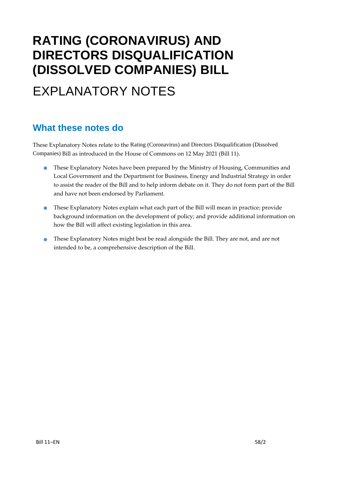# **RATING (CORONAVIRUS) AND DIRECTORS DISQUALIFICATION (DISSOLVED COMPANIES) BILL**

# EXPLANATORY NOTES

### **What these notes do**

- These Explanatory Notes have been prepared by the Ministry of Housing, Communities and Local Government and the Department for Business, Energy and Industrial Strategy in order to assist the reader of the Bill and to help inform debate on it. They do not form part of the Bill and have not been endorsed by Parliament.
- These Explanatory Notes explain what each part of the Bill will mean in practice; provide background information on the development of policy; and provide additional information on how the Bill will affect existing legislation in this area.
- These Explanatory Notes might best be read alongside the Bill. They are not, and are not intended to be, a comprehensive description of the Bill.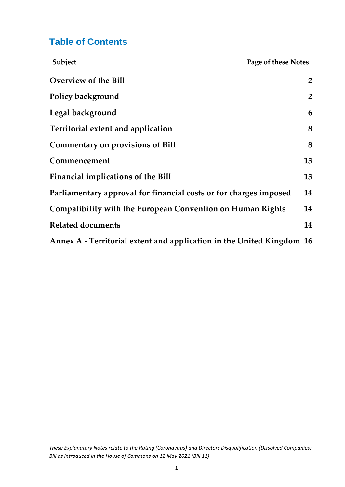### **Table of Contents**

| Subject                                                               | Page of these Notes |                |
|-----------------------------------------------------------------------|---------------------|----------------|
| <b>Overview of the Bill</b>                                           |                     | $\overline{2}$ |
| Policy background                                                     |                     | $\overline{2}$ |
| Legal background                                                      |                     | 6              |
| Territorial extent and application                                    |                     | 8              |
| <b>Commentary on provisions of Bill</b>                               |                     | 8              |
| Commencement                                                          |                     | 13             |
| Financial implications of the Bill                                    |                     | 13             |
| Parliamentary approval for financial costs or for charges imposed     |                     | 14             |
| Compatibility with the European Convention on Human Rights            |                     | 14             |
| <b>Related documents</b>                                              |                     | 14             |
| Annex A - Territorial extent and application in the United Kingdom 16 |                     |                |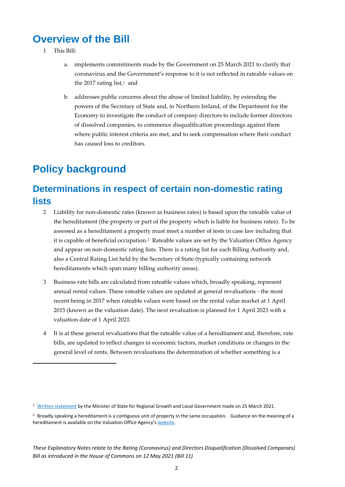## <span id="page-2-0"></span>**Overview of the Bill**

- 1 This Bill:
	- a. implements commitments made by the Government on 25 March 2021 to clarify that coronavirus and the Government's response to it is not reflected in rateable values on the 2017 rating list, <sup>1</sup> and
	- b. addresses public concerns about the abuse of limited liability, by extending the powers of the Secretary of State and, in Northern Ireland, of the Department for the Economy to investigate the conduct of company directors to include former directors of dissolved companies, to commence disqualification proceedings against them where public interest criteria are met, and to seek compensation where their conduct has caused loss to creditors.

## <span id="page-2-1"></span>**Policy background**

### **Determinations in respect of certain non-domestic rating lists**

- 2 Liability for non-domestic rates (known as business rates) is based upon the rateable value of the hereditament (the property or part of the property which is liable for business rates). To be assessed as a hereditament a property must meet a number of tests in case law including that it is capable of beneficial occupation. <sup>2</sup> Rateable values are set by the Valuation Office Agency and appear on non-domestic rating lists. There is a rating list for each Billing Authority and, also a Central Rating List held by the Secretary of State (typically containing network hereditaments which span many billing authority areas).
- 3 Business rate bills are calculated from rateable values which, broadly speaking, represent annual rental values. These rateable values are updated at general revaluations - the most recent being in 2017 when rateable values were based on the rental value market at 1 April 2015 (known as the valuation date). The next revaluation is planned for 1 April 2023 with a valuation date of 1 April 2021.
- 4 It is at these general revaluations that the rateable value of a hereditament and, therefore, rate bills, are updated to reflect changes in economic factors, market conditions or changes in the general level of rents. Between revaluations the determination of whether something is a

<sup>&</sup>lt;sup>1</sup> [Written statement](https://questions-statements.parliament.uk/written-statements/detail/2021-03-25/hcws901) by the Minister of State for Regional Growth and Local Government made on 25 March 2021.

<sup>&</sup>lt;sup>2</sup> Broadly speaking a hereditament is a contiguous unit of property in the same occupation. Guidance on the meaning of a hereditament is available on the Valuation Office Agency's [website.](https://www.gov.uk/guidance/rating-manual-section-3-valuation-principles/part-1-hereditament#:~:text=hereditament%20means%20property%20which%20is,item%20in%20the%20valuation%20list%2C&text=Mazars%20%5B2015%5D%20RA%20373%20as%20to%20what%20constitutes%20a%20hereditament.)

*These Explanatory Notes relate to the Rating (Coronavirus) and Directors Disqualification (Dissolved Companies) Bill as introduced in the House of Commons on 12 May 2021 (Bill 11)*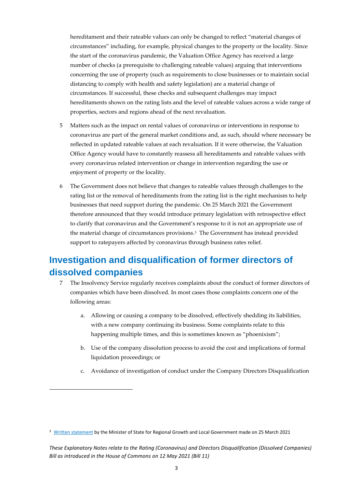hereditament and their rateable values can only be changed to reflect "material changes of circumstances" including, for example, physical changes to the property or the locality. Since the start of the coronavirus pandemic, the Valuation Office Agency has received a large number of checks (a prerequisite to challenging rateable values) arguing that interventions concerning the use of property (such as requirements to close businesses or to maintain social distancing to comply with health and safety legislation) are a material change of circumstances. If successful, these checks and subsequent challenges may impact hereditaments shown on the rating lists and the level of rateable values across a wide range of properties, sectors and regions ahead of the next revaluation.

- 5 Matters such as the impact on rental values of coronavirus or interventions in response to coronavirus are part of the general market conditions and, as such, should where necessary be reflected in updated rateable values at each revaluation. If it were otherwise, the Valuation Office Agency would have to constantly reassess all hereditaments and rateable values with every coronavirus related intervention or change in intervention regarding the use or enjoyment of property or the locality.
- 6 The Government does not believe that changes to rateable values through challenges to the rating list or the removal of hereditaments from the rating list is the right mechanism to help businesses that need support during the pandemic. On 25 March 2021 the Government therefore announced that they would introduce primary legislation with retrospective effect to clarify that coronavirus and the Government's response to it is not an appropriate use of the material change of circumstances provisions. <sup>3</sup> The Government has instead provided support to ratepayers affected by coronavirus through business rates relief.

### **Investigation and disqualification of former directors of dissolved companies**

- 7 The Insolvency Service regularly receives complaints about the conduct of former directors of companies which have been dissolved. In most cases those complaints concern one of the following areas:
	- a. Allowing or causing a company to be dissolved, effectively shedding its liabilities, with a new company continuing its business. Some complaints relate to this happening multiple times, and this is sometimes known as "phoenixism";
	- b. Use of the company dissolution process to avoid the cost and implications of formal liquidation proceedings; or
	- c. Avoidance of investigation of conduct under the Company Directors Disqualification

<sup>3</sup> [Written statement](https://questions-statements.parliament.uk/written-statements/detail/2021-03-25/hcws901) by the Minister of State for Regional Growth and Local Government made on 25 March 2021

*These Explanatory Notes relate to the Rating (Coronavirus) and Directors Disqualification (Dissolved Companies) Bill as introduced in the House of Commons on 12 May 2021 (Bill 11)*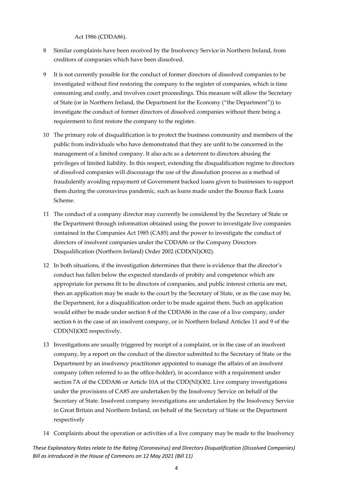Act 1986 (CDDA86).

- 8 Similar complaints have been received by the Insolvency Service in Northern Ireland, from creditors of companies which have been dissolved.
- 9 It is not currently possible for the conduct of former directors of dissolved companies to be investigated without first restoring the company to the register of companies, which is time consuming and costly, and involves court proceedings. This measure will allow the Secretary of State (or in Northern Ireland, the Department for the Economy ("the Department")) to investigate the conduct of former directors of dissolved companies without there being a requirement to first restore the company to the register.
- 10 The primary role of disqualification is to protect the business community and members of the public from individuals who have demonstrated that they are unfit to be concerned in the management of a limited company. It also acts as a deterrent to directors abusing the privileges of limited liability. In this respect, extending the disqualification regime to directors of dissolved companies will discourage the use of the dissolution process as a method of fraudulently avoiding repayment of Government backed loans given to businesses to support them during the coronavirus pandemic, such as loans made under the Bounce Back Loans Scheme.
- 11 The conduct of a company director may currently be considered by the Secretary of State or the Department through information obtained using the power to investigate live companies contained in the Companies Act 1985 (CA85) and the power to investigate the conduct of directors of insolvent companies under the CDDA86 or the Company Directors Disqualification (Northern Ireland) Order 2002 (CDD(NI)O02).
- 12 In both situations, if the investigation determines that there is evidence that the director's conduct has fallen below the expected standards of probity and competence which are appropriate for persons fit to be directors of companies, and public interest criteria are met, then an application may be made to the court by the Secretary of State, or as the case may be, the Department, for a disqualification order to be made against them. Such an application would either be made under section 8 of the CDDA86 in the case of a live company, under section 6 in the case of an insolvent company, or in Northern Ireland Articles 11 and 9 of the CDD(NI)O02 respectively.
- 13 Investigations are usually triggered by receipt of a complaint, or in the case of an insolvent company, by a report on the conduct of the director submitted to the Secretary of State or the Department by an insolvency practitioner appointed to manage the affairs of an insolvent company (often referred to as the office-holder), in accordance with a requirement under section 7A of the CDDA86 or Article 10A of the CDD(NI)O02. Live company investigations under the provisions of CA85 are undertaken by the Insolvency Service on behalf of the Secretary of State. Insolvent company investigations are undertaken by the Insolvency Service in Great Britain and Northern Ireland, on behalf of the Secretary of State or the Department respectively
- 14 Complaints about the operation or activities of a live company may be made to the Insolvency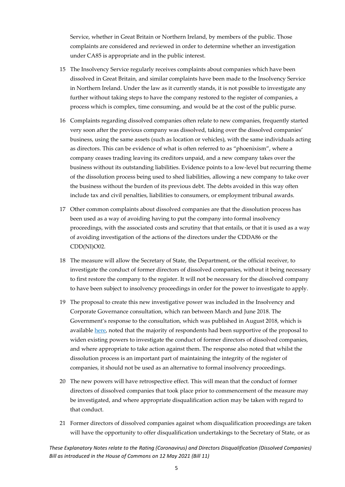Service, whether in Great Britain or Northern Ireland, by members of the public. Those complaints are considered and reviewed in order to determine whether an investigation under CA85 is appropriate and in the public interest.

- 15 The Insolvency Service regularly receives complaints about companies which have been dissolved in Great Britain, and similar complaints have been made to the Insolvency Service in Northern Ireland. Under the law as it currently stands, it is not possible to investigate any further without taking steps to have the company restored to the register of companies, a process which is complex, time consuming, and would be at the cost of the public purse.
- 16 Complaints regarding dissolved companies often relate to new companies, frequently started very soon after the previous company was dissolved, taking over the dissolved companies' business, using the same assets (such as location or vehicles), with the same individuals acting as directors. This can be evidence of what is often referred to as "phoenixism", where a company ceases trading leaving its creditors unpaid, and a new company takes over the business without its outstanding liabilities. Evidence points to a low-level but recurring theme of the dissolution process being used to shed liabilities, allowing a new company to take over the business without the burden of its previous debt. The debts avoided in this way often include tax and civil penalties, liabilities to consumers, or employment tribunal awards.
- 17 Other common complaints about dissolved companies are that the dissolution process has been used as a way of avoiding having to put the company into formal insolvency proceedings, with the associated costs and scrutiny that that entails, or that it is used as a way of avoiding investigation of the actions of the directors under the CDDA86 or the CDD(NI)O02.
- 18 The measure will allow the Secretary of State, the Department, or the official receiver, to investigate the conduct of former directors of dissolved companies, without it being necessary to first restore the company to the register. It will not be necessary for the dissolved company to have been subject to insolvency proceedings in order for the power to investigate to apply.
- 19 The proposal to create this new investigative power was included in the Insolvency and Corporate Governance consultation, which ran between March and June 2018. The Government's response to the consultation, which was published in August 2018, which is available [here,](https://assets.publishing.service.gov.uk/government/uploads/system/uploads/attachment_data/file/736163/ICG_-_Government_response_doc_-_24_Aug_clean_version__with_Minister_s_photo_and_signature__AC.pdf) noted that the majority of respondents had been supportive of the proposal to widen existing powers to investigate the conduct of former directors of dissolved companies, and where appropriate to take action against them. The response also noted that whilst the dissolution process is an important part of maintaining the integrity of the register of companies, it should not be used as an alternative to formal insolvency proceedings.
- 20 The new powers will have retrospective effect. This will mean that the conduct of former directors of dissolved companies that took place prior to commencement of the measure may be investigated, and where appropriate disqualification action may be taken with regard to that conduct.
- 21 Former directors of dissolved companies against whom disqualification proceedings are taken will have the opportunity to offer disqualification undertakings to the Secretary of State, or as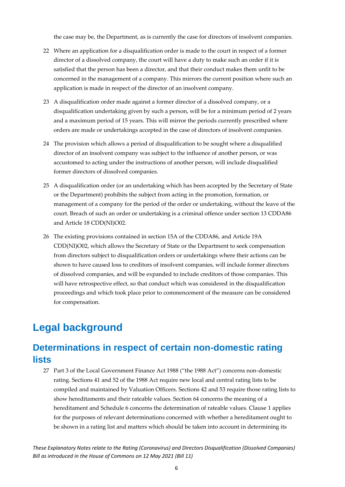the case may be, the Department, as is currently the case for directors of insolvent companies.

- 22 Where an application for a disqualification order is made to the court in respect of a former director of a dissolved company, the court will have a duty to make such an order if it is satisfied that the person has been a director, and that their conduct makes them unfit to be concerned in the management of a company. This mirrors the current position where such an application is made in respect of the director of an insolvent company.
- 23 A disqualification order made against a former director of a dissolved company, or a disqualification undertaking given by such a person, will be for a minimum period of 2 years and a maximum period of 15 years. This will mirror the periods currently prescribed where orders are made or undertakings accepted in the case of directors of insolvent companies.
- 24 The provision which allows a period of disqualification to be sought where a disqualified director of an insolvent company was subject to the influence of another person, or was accustomed to acting under the instructions of another person, will include disqualified former directors of dissolved companies.
- 25 A disqualification order (or an undertaking which has been accepted by the Secretary of State or the Department) prohibits the subject from acting in the promotion, formation, or management of a company for the period of the order or undertaking, without the leave of the court. Breach of such an order or undertaking is a criminal offence under section 13 CDDA86 and Article 18 CDD(NI)O02.
- 26 The existing provisions contained in section 15A of the CDDA86, and Article 19A CDD(NI)O02, which allows the Secretary of State or the Department to seek compensation from directors subject to disqualification orders or undertakings where their actions can be shown to have caused loss to creditors of insolvent companies, will include former directors of dissolved companies, and will be expanded to include creditors of those companies. This will have retrospective effect, so that conduct which was considered in the disqualification proceedings and which took place prior to commencement of the measure can be considered for compensation.

## <span id="page-6-0"></span>**Legal background**

### **Determinations in respect of certain non-domestic rating lists**

27 Part 3 of the Local Government Finance Act 1988 ("the 1988 Act") concerns non-domestic rating. Sections 41 and 52 of the 1988 Act require new local and central rating lists to be compiled and maintained by Valuation Officers. Sections 42 and 53 require those rating lists to show hereditaments and their rateable values. Section 64 concerns the meaning of a hereditament and Schedule 6 concerns the determination of rateable values. Clause 1 applies for the purposes of relevant determinations concerned with whether a hereditament ought to be shown in a rating list and matters which should be taken into account in determining its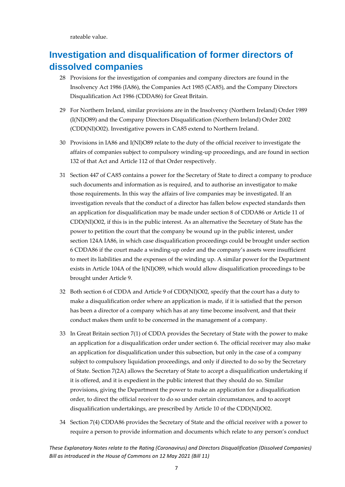rateable value.

## **Investigation and disqualification of former directors of dissolved companies**

- 28 Provisions for the investigation of companies and company directors are found in the Insolvency Act 1986 (IA86), the Companies Act 1985 (CA85), and the Company Directors Disqualification Act 1986 (CDDA86) for Great Britain.
- 29 For Northern Ireland, similar provisions are in the Insolvency (Northern Ireland) Order 1989 (I(NI)O89) and the Company Directors Disqualification (Northern Ireland) Order 2002 (CDD(NI)O02). Investigative powers in CA85 extend to Northern Ireland.
- 30 Provisions in IA86 and I(NI)O89 relate to the duty of the official receiver to investigate the affairs of companies subject to compulsory winding-up proceedings, and are found in section 132 of that Act and Article 112 of that Order respectively.
- 31 Section 447 of CA85 contains a power for the Secretary of State to direct a company to produce such documents and information as is required, and to authorise an investigator to make those requirements. In this way the affairs of live companies may be investigated. If an investigation reveals that the conduct of a director has fallen below expected standards then an application for disqualification may be made under section 8 of CDDA86 or Article 11 of CDD(NI)O02, if this is in the public interest. As an alternative the Secretary of State has the power to petition the court that the company be wound up in the public interest, under section 124A IA86, in which case disqualification proceedings could be brought under section 6 CDDA86 if the court made a winding-up order and the company's assets were insufficient to meet its liabilities and the expenses of the winding up. A similar power for the Department exists in Article 104A of the I(NI)O89, which would allow disqualification proceedings to be brought under Article 9.
- 32 Both section 6 of CDDA and Article 9 of CDD(NI)O02, specify that the court has a duty to make a disqualification order where an application is made, if it is satisfied that the person has been a director of a company which has at any time become insolvent, and that their conduct makes them unfit to be concerned in the management of a company.
- 33 In Great Britain section 7(1) of CDDA provides the Secretary of State with the power to make an application for a disqualification order under section 6. The official receiver may also make an application for disqualification under this subsection, but only in the case of a company subject to compulsory liquidation proceedings, and only if directed to do so by the Secretary of State. Section 7(2A) allows the Secretary of State to accept a disqualification undertaking if it is offered, and it is expedient in the public interest that they should do so. Similar provisions, giving the Department the power to make an application for a disqualification order, to direct the official receiver to do so under certain circumstances, and to accept disqualification undertakings, are prescribed by Article 10 of the CDD(NI)O02.
- 34 Section 7(4) CDDA86 provides the Secretary of State and the official receiver with a power to require a person to provide information and documents which relate to any person's conduct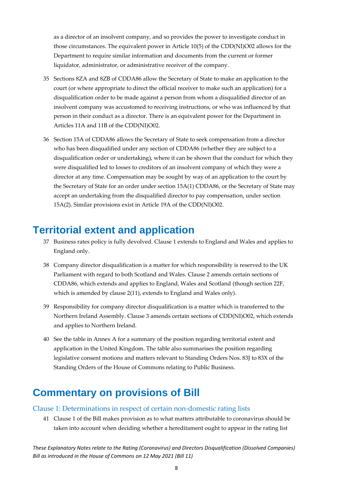as a director of an insolvent company, and so provides the power to investigate conduct in those circumstances. The equivalent power in Article 10(5) of the CDD(NI)O02 allows for the Department to require similar information and documents from the current or former liquidator, administrator, or administrative receiver of the company.

- 35 Sections 8ZA and 8ZB of CDDA86 allow the Secretary of State to make an application to the court (or where appropriate to direct the official receiver to make such an application) for a disqualification order to be made against a person from whom a disqualified director of an insolvent company was accustomed to receiving instructions, or who was influenced by that person in their conduct as a director. There is an equivalent power for the Department in Articles 11A and 11B of the CDD(NI)O02.
- 36 Section 15A of CDDA86 allows the Secretary of State to seek compensation from a director who has been disqualified under any section of CDDA86 (whether they are subject to a disqualification order or undertaking), where it can be shown that the conduct for which they were disqualified led to losses to creditors of an insolvent company of which they were a director at any time. Compensation may be sought by way of an application to the court by the Secretary of State for an order under section 15A(1) CDDA86, or the Secretary of State may accept an undertaking from the disqualified director to pay compensation, under section 15A(2). Similar provisions exist in Article 19A of the CDD(NI)O02.

## <span id="page-8-0"></span>**Territorial extent and application**

- 37 Business rates policy is fully devolved. Clause 1 extends to England and Wales and applies to England only.
- 38 Company director disqualification is a matter for which responsibility is reserved to the UK Parliament with regard to both Scotland and Wales. Clause 2 amends certain sections of CDDA86, which extends and applies to England, Wales and Scotland (though section 22F, which is amended by clause 2(11), extends to England and Wales only).
- 39 Responsibility for company director disqualification is a matter which is transferred to the Northern Ireland Assembly. Clause 3 amends certain sections of CDD(NI)O02, which extends and applies to Northern Ireland.
- 40 See the table in Annex A for a summary of the position regarding territorial extent and application in the United Kingdom. The table also summarises the position regarding legislative consent motions and matters relevant to Standing Orders Nos. 83J to 83X of the Standing Orders of the House of Commons relating to Public Business.

## <span id="page-8-1"></span>**Commentary on provisions of Bill**

#### Clause 1: Determinations in respect of certain non-domestic rating lists

41 Clause 1 of the Bill makes provision as to what matters attributable to coronavirus should be taken into account when deciding whether a hereditament ought to appear in the rating list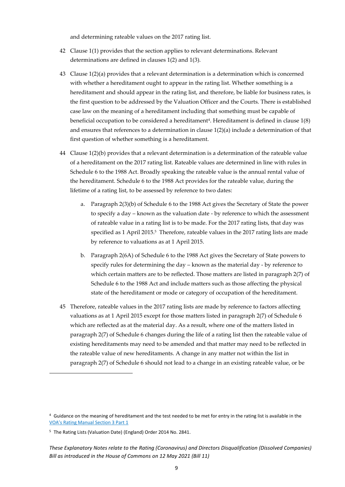and determining rateable values on the 2017 rating list.

- 42 Clause 1(1) provides that the section applies to relevant determinations. Relevant determinations are defined in clauses 1(2) and 1(3).
- 43 Clause 1(2)(a) provides that a relevant determination is a determination which is concerned with whether a hereditament ought to appear in the rating list. Whether something is a hereditament and should appear in the rating list, and therefore, be liable for business rates, is the first question to be addressed by the Valuation Officer and the Courts. There is established case law on the meaning of a hereditament including that something must be capable of beneficial occupation to be considered a hereditament<sup>4</sup>. Hereditament is defined in clause 1(8) and ensures that references to a determination in clause  $1(2)(a)$  include a determination of that first question of whether something is a hereditament.
- 44 Clause 1(2)(b) provides that a relevant determination is a determination of the rateable value of a hereditament on the 2017 rating list. Rateable values are determined in line with rules in Schedule 6 to the 1988 Act. Broadly speaking the rateable value is the annual rental value of the hereditament. Schedule 6 to the 1988 Act provides for the rateable value, during the lifetime of a rating list, to be assessed by reference to two dates:
	- a. Paragraph 2(3)(b) of Schedule 6 to the 1988 Act gives the Secretary of State the power to specify a day – known as the valuation date - by reference to which the assessment of rateable value in a rating list is to be made. For the 2017 rating lists, that day was specified as 1 April 2015. <sup>5</sup> Therefore, rateable values in the 2017 rating lists are made by reference to valuations as at 1 April 2015.
	- b. Paragraph 2(6A) of Schedule 6 to the 1988 Act gives the Secretary of State powers to specify rules for determining the day – known as the material day - by reference to which certain matters are to be reflected. Those matters are listed in paragraph 2(7) of Schedule 6 to the 1988 Act and include matters such as those affecting the physical state of the hereditament or mode or category of occupation of the hereditament.
- 45 Therefore, rateable values in the 2017 rating lists are made by reference to factors affecting valuations as at 1 April 2015 except for those matters listed in paragraph 2(7) of Schedule 6 which are reflected as at the material day. As a result, where one of the matters listed in paragraph 2(7) of Schedule 6 changes during the life of a rating list then the rateable value of existing hereditaments may need to be amended and that matter may need to be reflected in the rateable value of new hereditaments. A change in any matter not within the list in paragraph 2(7) of Schedule 6 should not lead to a change in an existing rateable value, or be

<sup>4</sup> Guidance on the meaning of hereditament and the test needed to be met for entry in the rating list is available in the [VOA's Rating Manual Section 3 Part 1](https://www.gov.uk/guidance/rating-manual-section-3-valuation-principles/part-1-hereditament)

<sup>5</sup> The Rating Lists (Valuation Date) (England) Order 2014 No. 2841.

*These Explanatory Notes relate to the Rating (Coronavirus) and Directors Disqualification (Dissolved Companies) Bill as introduced in the House of Commons on 12 May 2021 (Bill 11)*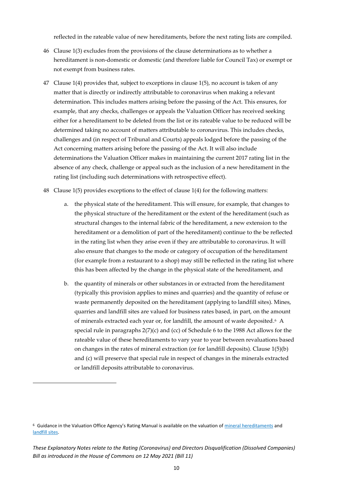reflected in the rateable value of new hereditaments, before the next rating lists are compiled.

- 46 Clause 1(3) excludes from the provisions of the clause determinations as to whether a hereditament is non-domestic or domestic (and therefore liable for Council Tax) or exempt or not exempt from business rates.
- 47 Clause 1(4) provides that, subject to exceptions in clause 1(5), no account is taken of any matter that is directly or indirectly attributable to coronavirus when making a relevant determination. This includes matters arising before the passing of the Act. This ensures, for example, that any checks, challenges or appeals the Valuation Officer has received seeking either for a hereditament to be deleted from the list or its rateable value to be reduced will be determined taking no account of matters attributable to coronavirus. This includes checks, challenges and (in respect of Tribunal and Courts) appeals lodged before the passing of the Act concerning matters arising before the passing of the Act. It will also include determinations the Valuation Officer makes in maintaining the current 2017 rating list in the absence of any check, challenge or appeal such as the inclusion of a new hereditament in the rating list (including such determinations with retrospective effect).
- 48 Clause 1(5) provides exceptions to the effect of clause 1(4) for the following matters:
	- a. the physical state of the hereditament. This will ensure, for example, that changes to the physical structure of the hereditament or the extent of the hereditament (such as structural changes to the internal fabric of the hereditament, a new extension to the hereditament or a demolition of part of the hereditament) continue to the be reflected in the rating list when they arise even if they are attributable to coronavirus. It will also ensure that changes to the mode or category of occupation of the hereditament (for example from a restaurant to a shop) may still be reflected in the rating list where this has been affected by the change in the physical state of the hereditament, and
	- b. the quantity of minerals or other substances in or extracted from the hereditament (typically this provision applies to mines and quarries) and the quantity of refuse or waste permanently deposited on the hereditament (applying to landfill sites). Mines, quarries and landfill sites are valued for business rates based, in part, on the amount of minerals extracted each year or, for landfill, the amount of waste deposited. <sup>6</sup> A special rule in paragraphs 2(7)(c) and (cc) of Schedule 6 to the 1988 Act allows for the rateable value of these hereditaments to vary year to year between revaluations based on changes in the rates of mineral extraction (or for landfill deposits). Clause 1(5)(b) and (c) will preserve that special rule in respect of changes in the minerals extracted or landfill deposits attributable to coronavirus.

<sup>&</sup>lt;sup>6</sup> Guidance in the Valuation Office Agency's Rating Manual is available on the valuation of [mineral hereditaments](https://www.gov.uk/guidance/rating-manual-section-6-chhallenges-to-the-rating-list/part-4-mineral-hereditaments) and [landfill sites.](https://www.gov.uk/guidance/rating-manual-section-6-part-3-valuation-of-all-property-classes/section-545-landfill-sites)

*These Explanatory Notes relate to the Rating (Coronavirus) and Directors Disqualification (Dissolved Companies) Bill as introduced in the House of Commons on 12 May 2021 (Bill 11)*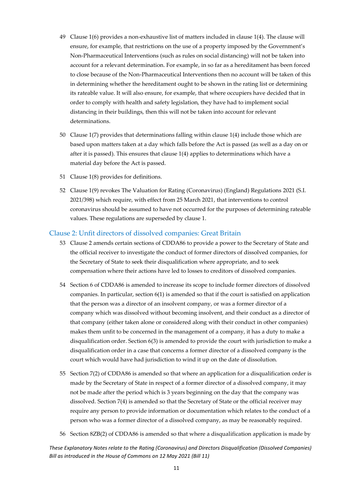- 49 Clause 1(6) provides a non-exhaustive list of matters included in clause 1(4). The clause will ensure, for example, that restrictions on the use of a property imposed by the Government's Non-Pharmaceutical Interventions (such as rules on social distancing) will not be taken into account for a relevant determination. For example, in so far as a hereditament has been forced to close because of the Non-Pharmaceutical Interventions then no account will be taken of this in determining whether the hereditament ought to be shown in the rating list or determining its rateable value. It will also ensure, for example, that where occupiers have decided that in order to comply with health and safety legislation, they have had to implement social distancing in their buildings, then this will not be taken into account for relevant determinations.
- 50 Clause 1(7) provides that determinations falling within clause 1(4) include those which are based upon matters taken at a day which falls before the Act is passed (as well as a day on or after it is passed). This ensures that clause 1(4) applies to determinations which have a material day before the Act is passed.
- 51 Clause 1(8) provides for definitions.
- 52 Clause 1(9) revokes The Valuation for Rating (Coronavirus) (England) Regulations 2021 (S.I. 2021/398) which require, with effect from 25 March 2021, that interventions to control coronavirus should be assumed to have not occurred for the purposes of determining rateable values. These regulations are superseded by clause 1.

#### Clause 2: Unfit directors of dissolved companies: Great Britain

- 53 Clause 2 amends certain sections of CDDA86 to provide a power to the Secretary of State and the official receiver to investigate the conduct of former directors of dissolved companies, for the Secretary of State to seek their disqualification where appropriate, and to seek compensation where their actions have led to losses to creditors of dissolved companies.
- 54 Section 6 of CDDA86 is amended to increase its scope to include former directors of dissolved companies. In particular, section 6(1) is amended so that if the court is satisfied on application that the person was a director of an insolvent company, or was a former director of a company which was dissolved without becoming insolvent, and their conduct as a director of that company (either taken alone or considered along with their conduct in other companies) makes them unfit to be concerned in the management of a company, it has a duty to make a disqualification order. Section 6(3) is amended to provide the court with jurisdiction to make a disqualification order in a case that concerns a former director of a dissolved company is the court which would have had jurisdiction to wind it up on the date of dissolution.
- 55 Section 7(2) of CDDA86 is amended so that where an application for a disqualification order is made by the Secretary of State in respect of a former director of a dissolved company, it may not be made after the period which is 3 years beginning on the day that the company was dissolved. Section 7(4) is amended so that the Secretary of State or the official receiver may require any person to provide information or documentation which relates to the conduct of a person who was a former director of a dissolved company, as may be reasonably required.
- 56 Section 8ZB(2) of CDDA86 is amended so that where a disqualification application is made by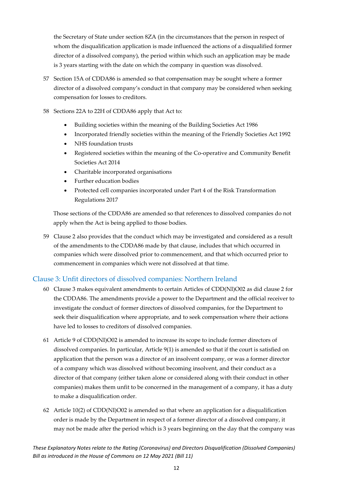the Secretary of State under section 8ZA (in the circumstances that the person in respect of whom the disqualification application is made influenced the actions of a disqualified former director of a dissolved company), the period within which such an application may be made is 3 years starting with the date on which the company in question was dissolved.

57 Section 15A of CDDA86 is amended so that compensation may be sought where a former director of a dissolved company's conduct in that company may be considered when seeking compensation for losses to creditors.

#### 58 Sections 22A to 22H of CDDA86 apply that Act to:

- Building societies within the meaning of the Building Societies Act 1986
- Incorporated friendly societies within the meaning of the Friendly Societies Act 1992
- NHS foundation trusts
- Registered societies within the meaning of the Co-operative and Community Benefit Societies Act 2014
- Charitable incorporated organisations
- Further education bodies
- Protected cell companies incorporated under Part 4 of the Risk Transformation Regulations 2017

Those sections of the CDDA86 are amended so that references to dissolved companies do not apply when the Act is being applied to those bodies.

59 Clause 2 also provides that the conduct which may be investigated and considered as a result of the amendments to the CDDA86 made by that clause, includes that which occurred in companies which were dissolved prior to commencement, and that which occurred prior to commencement in companies which were not dissolved at that time.

#### Clause 3: Unfit directors of dissolved companies: Northern Ireland

- 60 Clause 3 makes equivalent amendments to certain Articles of CDD(NI)O02 as did clause 2 for the CDDA86. The amendments provide a power to the Department and the official receiver to investigate the conduct of former directors of dissolved companies, for the Department to seek their disqualification where appropriate, and to seek compensation where their actions have led to losses to creditors of dissolved companies.
- 61 Article 9 of CDD(NI)O02 is amended to increase its scope to include former directors of dissolved companies. In particular, Article 9(1) is amended so that if the court is satisfied on application that the person was a director of an insolvent company, or was a former director of a company which was dissolved without becoming insolvent, and their conduct as a director of that company (either taken alone or considered along with their conduct in other companies) makes them unfit to be concerned in the management of a company, it has a duty to make a disqualification order.
- 62 Article 10(2) of CDD(NI)O02 is amended so that where an application for a disqualification order is made by the Department in respect of a former director of a dissolved company, it may not be made after the period which is 3 years beginning on the day that the company was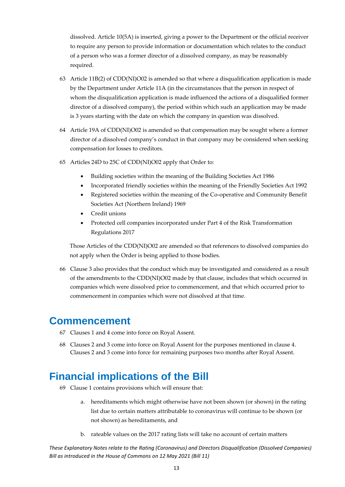dissolved. Article 10(5A) is inserted, giving a power to the Department or the official receiver to require any person to provide information or documentation which relates to the conduct of a person who was a former director of a dissolved company, as may be reasonably required.

- 63 Article 11B(2) of CDD(NI)O02 is amended so that where a disqualification application is made by the Department under Article 11A (in the circumstances that the person in respect of whom the disqualification application is made influenced the actions of a disqualified former director of a dissolved company), the period within which such an application may be made is 3 years starting with the date on which the company in question was dissolved.
- 64 Article 19A of CDD(NI)O02 is amended so that compensation may be sought where a former director of a dissolved company's conduct in that company may be considered when seeking compensation for losses to creditors.
- 65 Articles 24D to 25C of CDD(NI)O02 apply that Order to:
	- Building societies within the meaning of the Building Societies Act 1986
	- Incorporated friendly societies within the meaning of the Friendly Societies Act 1992
	- Registered societies within the meaning of the Co-operative and Community Benefit Societies Act (Northern Ireland) 1969
	- Credit unions
	- Protected cell companies incorporated under Part 4 of the Risk Transformation Regulations 2017

Those Articles of the CDD(NI)O02 are amended so that references to dissolved companies do not apply when the Order is being applied to those bodies.

66 Clause 3 also provides that the conduct which may be investigated and considered as a result of the amendments to the CDD(NI)O02 made by that clause, includes that which occurred in companies which were dissolved prior to commencement, and that which occurred prior to commencement in companies which were not dissolved at that time.

### <span id="page-13-0"></span>**Commencement**

- 67 Clauses 1 and 4 come into force on Royal Assent.
- 68 Clauses 2 and 3 come into force on Royal Assent for the purposes mentioned in clause 4. Clauses 2 and 3 come into force for remaining purposes two months after Royal Assent.

## <span id="page-13-1"></span>**Financial implications of the Bill**

- 69 Clause 1 contains provisions which will ensure that:
	- a. hereditaments which might otherwise have not been shown (or shown) in the rating list due to certain matters attributable to coronavirus will continue to be shown (or not shown) as hereditaments, and
	- b. rateable values on the 2017 rating lists will take no account of certain matters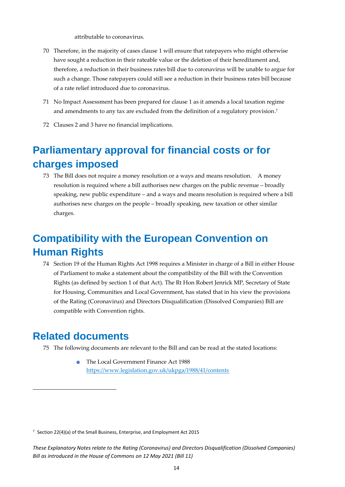attributable to coronavirus.

- 70 Therefore, in the majority of cases clause 1 will ensure that ratepayers who might otherwise have sought a reduction in their rateable value or the deletion of their hereditament and, therefore, a reduction in their business rates bill due to coronavirus will be unable to argue for such a change. Those ratepayers could still see a reduction in their business rates bill because of a rate relief introduced due to coronavirus.
- 71 No Impact Assessment has been prepared for clause 1 as it amends a local taxation regime and amendments to any tax are excluded from the definition of a regulatory provision. 7
- 72 Clauses 2 and 3 have no financial implications.

## <span id="page-14-0"></span>**Parliamentary approval for financial costs or for charges imposed**

73 The Bill does not require a money resolution or a ways and means resolution. A money resolution is required where a bill authorises new charges on the public revenue – broadly speaking, new public expenditure – and a ways and means resolution is required where a bill authorises new charges on the people – broadly speaking, new taxation or other similar charges.

## <span id="page-14-1"></span>**Compatibility with the European Convention on Human Rights**

74 Section 19 of the Human Rights Act 1998 requires a Minister in charge of a Bill in either House of Parliament to make a statement about the compatibility of the Bill with the Convention Rights (as defined by section 1 of that Act). The Rt Hon Robert Jenrick MP, Secretary of State for Housing, Communities and Local Government, has stated that in his view the provisions of the Rating (Coronavirus) and Directors Disqualification (Dissolved Companies) Bill are compatible with Convention rights.

## <span id="page-14-2"></span>**Related documents**

- 75 The following documents are relevant to the Bill and can be read at the stated locations:
	- The Local Government Finance Act 1988 <https://www.legislation.gov.uk/ukpga/1988/41/contents>

<sup>7</sup> Section 22(4)(a) of the Small Business, Enterprise, and Employment Act 2015

*These Explanatory Notes relate to the Rating (Coronavirus) and Directors Disqualification (Dissolved Companies) Bill as introduced in the House of Commons on 12 May 2021 (Bill 11)*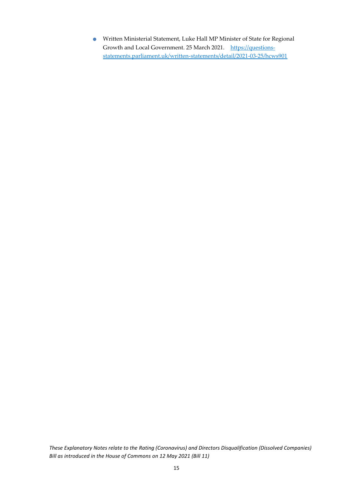• Written Ministerial Statement, Luke Hall MP Minister of State for Regional Growth and Local Government. 25 March 2021. [https://questions](https://questions-statements.parliament.uk/written-statements/detail/2021-03-25/hcws901)[statements.parliament.uk/written-statements/detail/2021-03-25/hcws901](https://questions-statements.parliament.uk/written-statements/detail/2021-03-25/hcws901)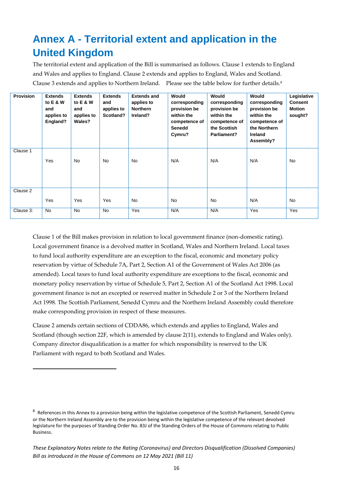## <span id="page-16-0"></span>**Annex A - Territorial extent and application in the United Kingdom**

The territorial extent and application of the Bill is summarised as follows. Clause 1 extends to England and Wales and applies to England. Clause 2 extends and applies to England, Wales and Scotland. Clause 3 extends and applies to Northern Ireland. Please see the table below for further details.<sup>8</sup>

| <b>Provision</b> | <b>Extends</b><br>to E & W<br>and<br>applies to<br>England? | <b>Extends</b><br>to E & W<br>and<br>applies to<br>Wales? | <b>Extends</b><br>and<br>applies to<br>Scotland? | <b>Extends and</b><br>applies to<br><b>Northern</b><br>Ireland? | Would<br>corresponding<br>provision be<br>within the<br>competence of<br><b>Senedd</b><br>Cymru? | Would<br>corresponding<br>provision be<br>within the<br>competence of<br>the Scottish<br>Parliament? | Would<br>corresponding<br>provision be<br>within the<br>competence of<br>the Northern<br>Ireland<br>Assembly? | Legislative<br><b>Consent</b><br><b>Motion</b><br>sought? |
|------------------|-------------------------------------------------------------|-----------------------------------------------------------|--------------------------------------------------|-----------------------------------------------------------------|--------------------------------------------------------------------------------------------------|------------------------------------------------------------------------------------------------------|---------------------------------------------------------------------------------------------------------------|-----------------------------------------------------------|
| Clause 1         | Yes                                                         | No.                                                       | <b>No</b>                                        | <b>No</b>                                                       | N/A                                                                                              | N/A                                                                                                  | N/A                                                                                                           | <b>No</b>                                                 |
| Clause 2         | Yes                                                         | Yes                                                       | Yes                                              | <b>No</b>                                                       | <b>No</b>                                                                                        | <b>No</b>                                                                                            | N/A                                                                                                           | <b>No</b>                                                 |
| Clause 3:        | No                                                          | No                                                        | No                                               | Yes                                                             | N/A                                                                                              | N/A                                                                                                  | Yes                                                                                                           | Yes                                                       |

Clause 1 of the Bill makes provision in relation to local government finance (non-domestic rating). Local government finance is a devolved matter in Scotland, Wales and Northern Ireland. Local taxes to fund local authority expenditure are an exception to the fiscal, economic and monetary policy reservation by virtue of Schedule 7A, Part 2, Section A1 of the Government of Wales Act 2006 (as amended). Local taxes to fund local authority expenditure are exceptions to the fiscal, economic and monetary policy reservation by virtue of Schedule 5, Part 2, Section A1 of the Scotland Act 1998. Local government finance is not an excepted or reserved matter in Schedule 2 or 3 of the Northern Ireland Act 1998. The Scottish Parliament, Senedd Cymru and the Northern Ireland Assembly could therefore make corresponding provision in respect of these measures.

Clause 2 amends certain sections of CDDA86, which extends and applies to England, Wales and Scotland (though section 22F, which is amended by clause 2(11), extends to England and Wales only). Company director disqualification is a matter for which responsibility is reserved to the UK Parliament with regard to both Scotland and Wales.

<sup>&</sup>lt;sup>8</sup> References in this Annex to a provision being within the legislative competence of the Scottish Parliament, Senedd Cymru or the Northern Ireland Assembly are to the provision being within the legislative competence of the relevant devolved legislature for the purposes of Standing Order No. 83J of the Standing Orders of the House of Commons relating to Public Business.

*These Explanatory Notes relate to the Rating (Coronavirus) and Directors Disqualification (Dissolved Companies) Bill as introduced in the House of Commons on 12 May 2021 (Bill 11)*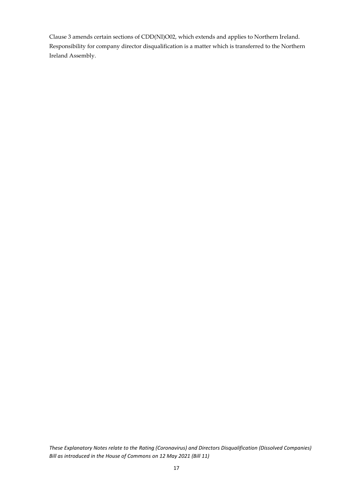Clause 3 amends certain sections of CDD(NI)O02, which extends and applies to Northern Ireland. Responsibility for company director disqualification is a matter which is transferred to the Northern Ireland Assembly.